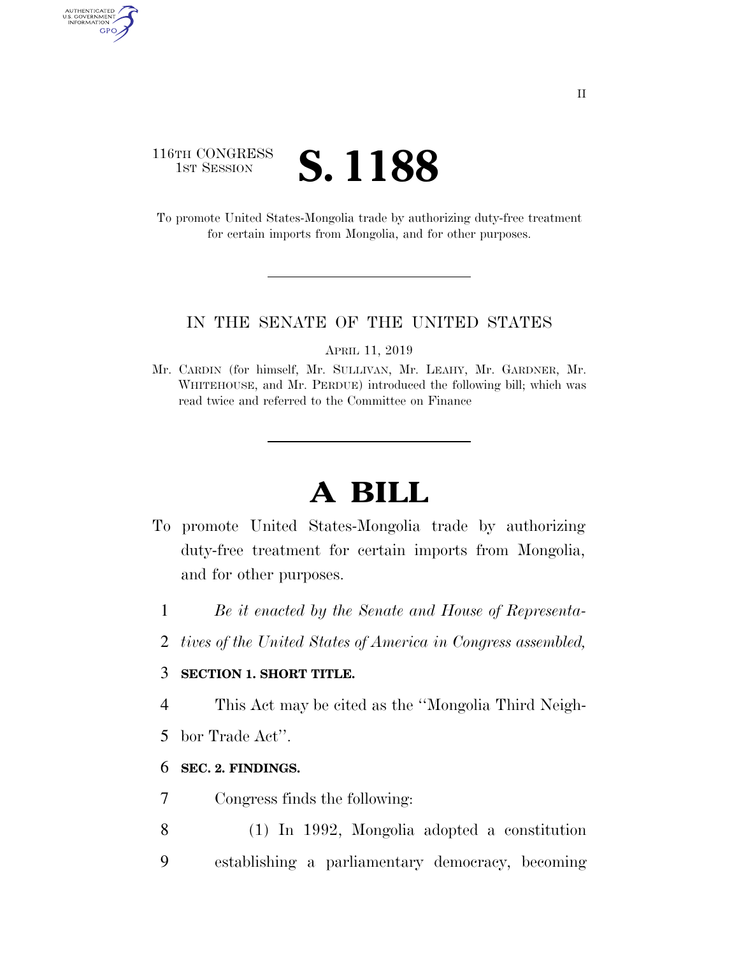## 116TH CONGRESS **IST SESSION S. 1188**

AUTHENTICATED<br>U.S. GOVERNMENT<br>INFORMATION GPO

> To promote United States-Mongolia trade by authorizing duty-free treatment for certain imports from Mongolia, and for other purposes.

#### IN THE SENATE OF THE UNITED STATES

APRIL 11, 2019

Mr. CARDIN (for himself, Mr. SULLIVAN, Mr. LEAHY, Mr. GARDNER, Mr. WHITEHOUSE, and Mr. PERDUE) introduced the following bill; which was read twice and referred to the Committee on Finance

# **A BILL**

- To promote United States-Mongolia trade by authorizing duty-free treatment for certain imports from Mongolia, and for other purposes.
	- 1 *Be it enacted by the Senate and House of Representa-*
	- 2 *tives of the United States of America in Congress assembled,*

#### 3 **SECTION 1. SHORT TITLE.**

4 This Act may be cited as the ''Mongolia Third Neigh-

5 bor Trade Act''.

#### 6 **SEC. 2. FINDINGS.**

- 7 Congress finds the following:
- 8 (1) In 1992, Mongolia adopted a constitution 9 establishing a parliamentary democracy, becoming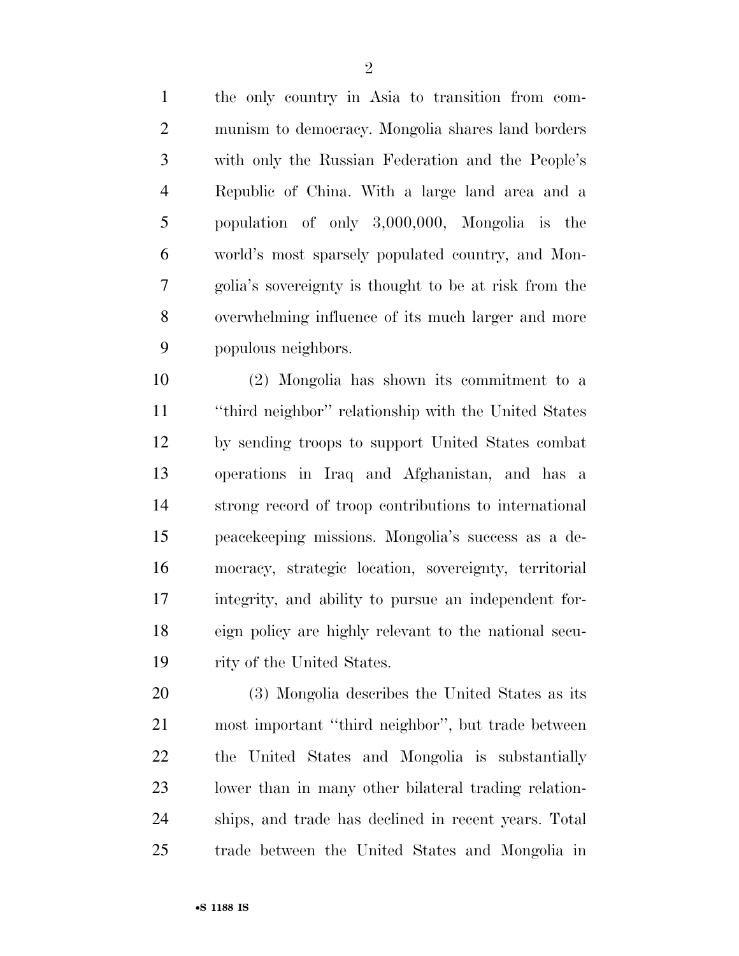the only country in Asia to transition from com- munism to democracy. Mongolia shares land borders with only the Russian Federation and the People's Republic of China. With a large land area and a population of only 3,000,000, Mongolia is the world's most sparsely populated country, and Mon- golia's sovereignty is thought to be at risk from the overwhelming influence of its much larger and more populous neighbors.

 (2) Mongolia has shown its commitment to a ''third neighbor'' relationship with the United States by sending troops to support United States combat operations in Iraq and Afghanistan, and has a strong record of troop contributions to international peacekeeping missions. Mongolia's success as a de- mocracy, strategic location, sovereignty, territorial integrity, and ability to pursue an independent for- eign policy are highly relevant to the national secu-rity of the United States.

 (3) Mongolia describes the United States as its most important ''third neighbor'', but trade between the United States and Mongolia is substantially lower than in many other bilateral trading relation- ships, and trade has declined in recent years. Total trade between the United States and Mongolia in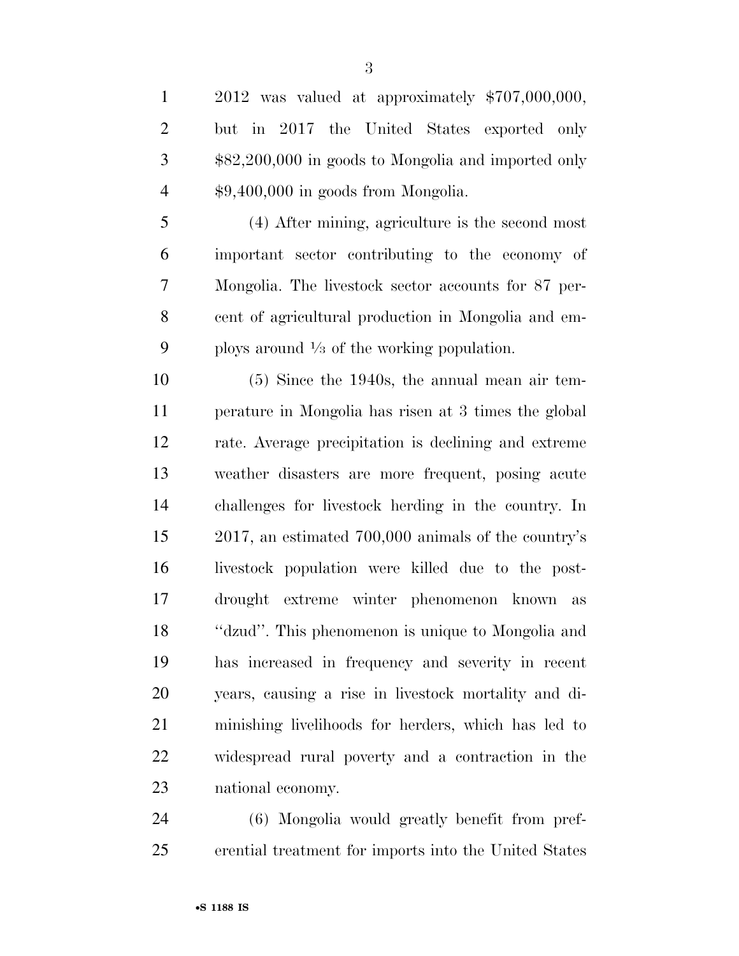2012 was valued at approximately \$707,000,000,

 but in 2017 the United States exported only \$82,200,000 in goods to Mongolia and imported only \$9,400,000 in goods from Mongolia. (4) After mining, agriculture is the second most important sector contributing to the economy of Mongolia. The livestock sector accounts for 87 per- cent of agricultural production in Mongolia and em-9 bloys around  $\frac{1}{3}$  of the working population. (5) Since the 1940s, the annual mean air tem- perature in Mongolia has risen at 3 times the global rate. Average precipitation is declining and extreme

 weather disasters are more frequent, posing acute challenges for livestock herding in the country. In 2017, an estimated 700,000 animals of the country's livestock population were killed due to the post- drought extreme winter phenomenon known as ''dzud''. This phenomenon is unique to Mongolia and has increased in frequency and severity in recent years, causing a rise in livestock mortality and di- minishing livelihoods for herders, which has led to widespread rural poverty and a contraction in the national economy.

 (6) Mongolia would greatly benefit from pref-erential treatment for imports into the United States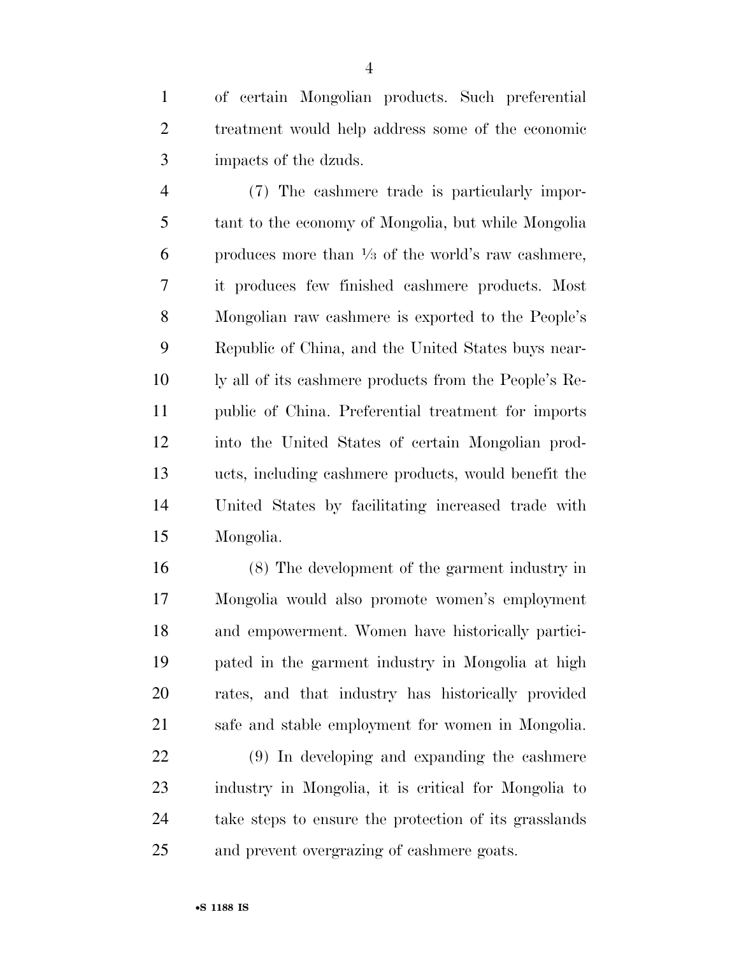of certain Mongolian products. Such preferential treatment would help address some of the economic impacts of the dzuds.

 (7) The cashmere trade is particularly impor- tant to the economy of Mongolia, but while Mongolia 6 b produces more than  $\frac{1}{3}$  of the world's raw cashmere, it produces few finished cashmere products. Most Mongolian raw cashmere is exported to the People's Republic of China, and the United States buys near- ly all of its cashmere products from the People's Re- public of China. Preferential treatment for imports into the United States of certain Mongolian prod- ucts, including cashmere products, would benefit the United States by facilitating increased trade with Mongolia.

 (8) The development of the garment industry in Mongolia would also promote women's employment and empowerment. Women have historically partici- pated in the garment industry in Mongolia at high rates, and that industry has historically provided safe and stable employment for women in Mongolia.

 (9) In developing and expanding the cashmere industry in Mongolia, it is critical for Mongolia to take steps to ensure the protection of its grasslands and prevent overgrazing of cashmere goats.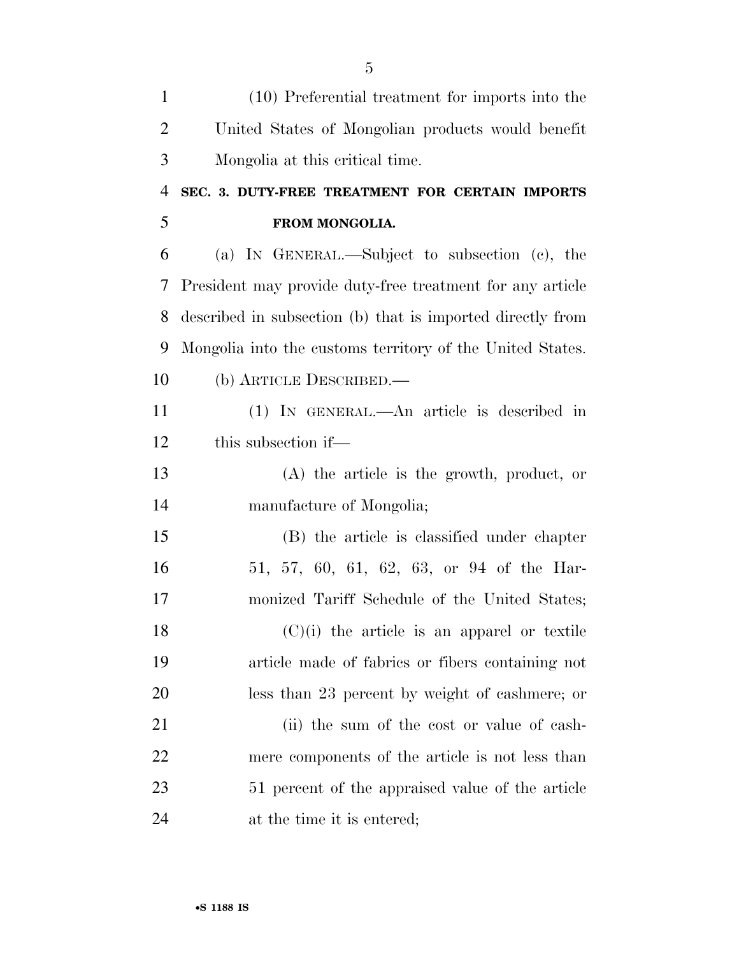| $\mathbf{1}$   | (10) Preferential treatment for imports into the           |
|----------------|------------------------------------------------------------|
| $\overline{2}$ | United States of Mongolian products would benefit          |
| 3              | Mongolia at this critical time.                            |
| $\overline{4}$ | SEC. 3. DUTY-FREE TREATMENT FOR CERTAIN IMPORTS            |
| 5              | FROM MONGOLIA.                                             |
| 6              | (a) IN GENERAL.—Subject to subsection (c), the             |
| 7              | President may provide duty-free treatment for any article  |
| 8              | described in subsection (b) that is imported directly from |
| 9              | Mongolia into the customs territory of the United States.  |
| 10             | (b) ARTICLE DESCRIBED.—                                    |
| 11             | (1) IN GENERAL.—An article is described in                 |
| 12             | this subsection if—                                        |
| 13             | $(A)$ the article is the growth, product, or               |
| 14             | manufacture of Mongolia;                                   |
| 15             | (B) the article is classified under chapter                |
| 16             | 51, 57, 60, 61, 62, 63, or 94 of the Har-                  |
| 17             | monized Tariff Schedule of the United States;              |
| 18             | $(C)(i)$ the article is an apparel or textile              |
| 19             | article made of fabrics or fibers containing not           |
| 20             | less than 23 percent by weight of cashmere; or             |
| 21             | (ii) the sum of the cost or value of cash-                 |
| 22             | mere components of the article is not less than            |
| 23             | 51 percent of the appraised value of the article           |
| 24             | at the time it is entered;                                 |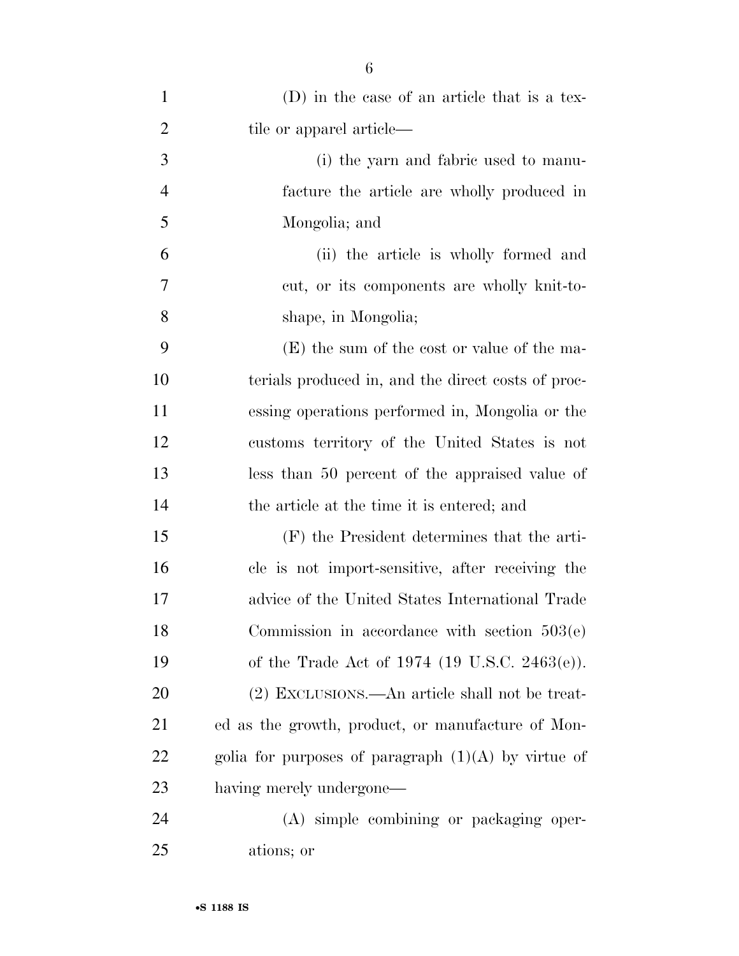| $\mathbf{1}$   | (D) in the case of an article that is a tex-          |
|----------------|-------------------------------------------------------|
| $\overline{2}$ | tile or apparel article—                              |
| 3              | (i) the yarn and fabric used to manu-                 |
| $\overline{4}$ | facture the article are wholly produced in            |
| 5              | Mongolia; and                                         |
| 6              | (ii) the article is wholly formed and                 |
| 7              | cut, or its components are wholly knit-to-            |
| 8              | shape, in Mongolia;                                   |
| 9              | (E) the sum of the cost or value of the ma-           |
| 10             | terials produced in, and the direct costs of proc-    |
| 11             | essing operations performed in, Mongolia or the       |
| 12             | customs territory of the United States is not         |
| 13             | less than 50 percent of the appraised value of        |
| 14             | the article at the time it is entered; and            |
| 15             | (F) the President determines that the arti-           |
| 16             | cle is not import-sensitive, after receiving the      |
| 17             | advice of the United States International Trade       |
| 18             | Commission in accordance with section $503(e)$        |
| 19             | of the Trade Act of 1974 (19 U.S.C. 2463(e)).         |
| 20             | (2) EXCLUSIONS.—An article shall not be treat-        |
| 21             | ed as the growth, product, or manufacture of Mon-     |
| 22             | golia for purposes of paragraph $(1)(A)$ by virtue of |
| 23             | having merely undergone—                              |
| 24             | (A) simple combining or packaging oper-               |
| 25             | ations; or                                            |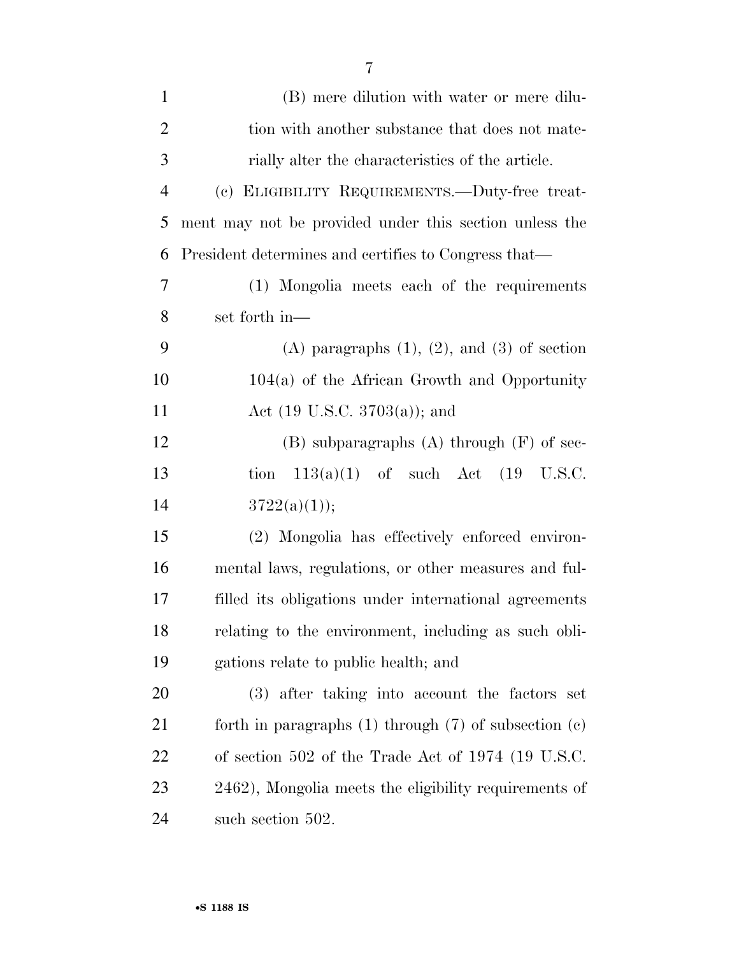| $\mathbf{1}$   | (B) mere dilution with water or mere dilu-                  |
|----------------|-------------------------------------------------------------|
| $\overline{2}$ | tion with another substance that does not mate-             |
| 3              | rially alter the characteristics of the article.            |
| $\overline{4}$ | (c) ELIGIBILITY REQUIREMENTS.—Duty-free treat-              |
| 5              | ment may not be provided under this section unless the      |
| 6              | President determines and certifies to Congress that—        |
| $\overline{7}$ | (1) Mongolia meets each of the requirements                 |
| 8              | set forth in—                                               |
| 9              | $(A)$ paragraphs $(1)$ , $(2)$ , and $(3)$ of section       |
| 10             | $104(a)$ of the African Growth and Opportunity              |
| 11             | Act $(19 \text{ U.S.C. } 3703(a))$ ; and                    |
| 12             | $(B)$ subparagraphs $(A)$ through $(F)$ of sec-             |
| 13             | tion $113(a)(1)$ of such Act $(19 \text{ U.S.C.})$          |
| 14             | 3722(a)(1));                                                |
| 15             | (2) Mongolia has effectively enforced environ-              |
| 16             | mental laws, regulations, or other measures and ful-        |
| 17             | filled its obligations under international agreements       |
| 18             | relating to the environment, including as such obli-        |
| 19             | gations relate to public health; and                        |
| 20             | (3) after taking into account the factors set               |
| 21             | forth in paragraphs $(1)$ through $(7)$ of subsection $(e)$ |
| 22             | of section 502 of the Trade Act of 1974 (19 U.S.C.          |
| 23             | 2462), Mongolia meets the eligibility requirements of       |
| 24             | such section 502.                                           |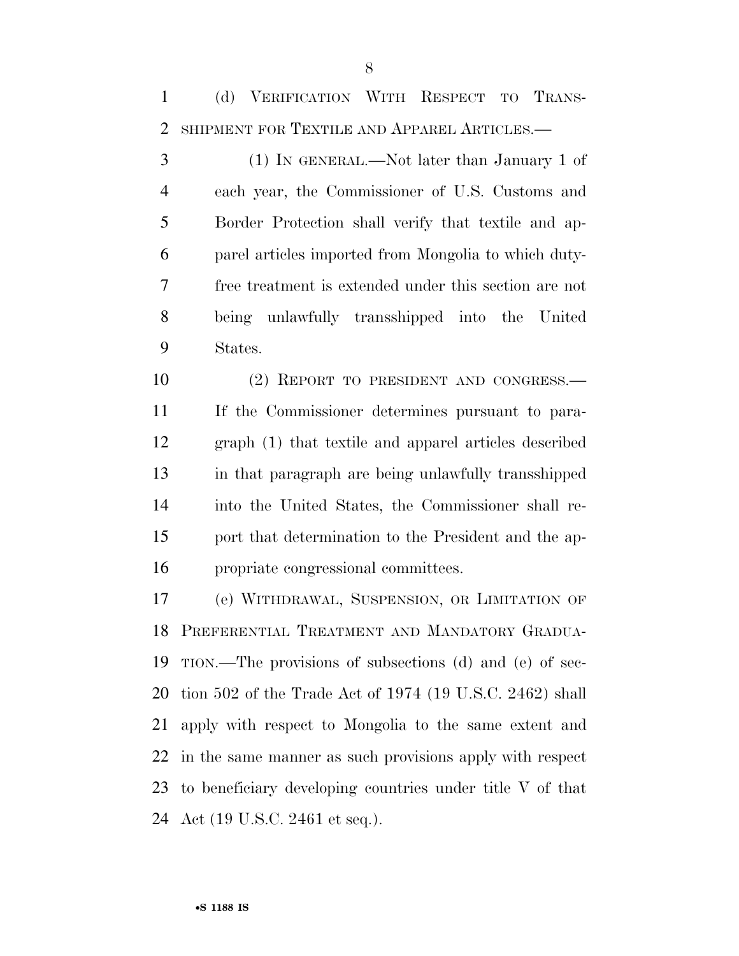(d) VERIFICATION WITH RESPECT TO TRANS-SHIPMENT FOR TEXTILE AND APPAREL ARTICLES.—

 (1) IN GENERAL.—Not later than January 1 of each year, the Commissioner of U.S. Customs and Border Protection shall verify that textile and ap- parel articles imported from Mongolia to which duty- free treatment is extended under this section are not being unlawfully transshipped into the United States.

 (2) REPORT TO PRESIDENT AND CONGRESS.— If the Commissioner determines pursuant to para- graph (1) that textile and apparel articles described in that paragraph are being unlawfully transshipped into the United States, the Commissioner shall re- port that determination to the President and the ap-propriate congressional committees.

 (e) WITHDRAWAL, SUSPENSION, OR LIMITATION OF PREFERENTIAL TREATMENT AND MANDATORY GRADUA- TION.—The provisions of subsections (d) and (e) of sec- tion 502 of the Trade Act of 1974 (19 U.S.C. 2462) shall apply with respect to Mongolia to the same extent and in the same manner as such provisions apply with respect to beneficiary developing countries under title V of that Act (19 U.S.C. 2461 et seq.).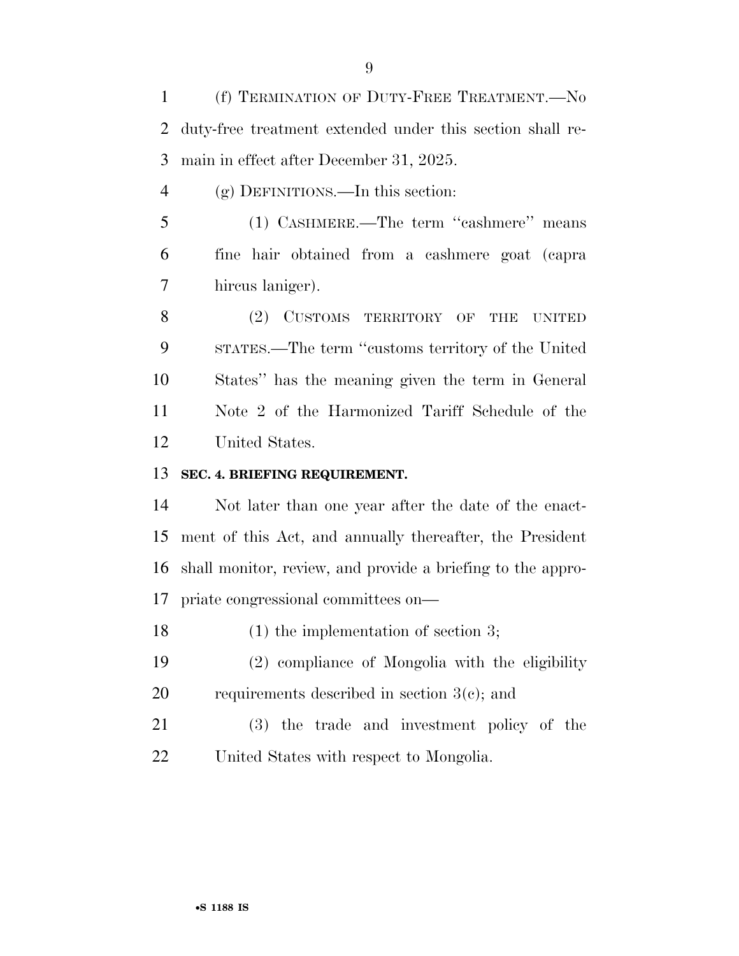(f) TERMINATION OF DUTY-FREE TREATMENT.—No duty-free treatment extended under this section shall re-main in effect after December 31, 2025.

- (g) DEFINITIONS.—In this section:
- (1) CASHMERE.—The term ''cashmere'' means fine hair obtained from a cashmere goat (capra hircus laniger).

8 (2) CUSTOMS TERRITORY OF THE UNITED STATES.—The term ''customs territory of the United States'' has the meaning given the term in General Note 2 of the Harmonized Tariff Schedule of the United States.

### **SEC. 4. BRIEFING REQUIREMENT.**

 Not later than one year after the date of the enact- ment of this Act, and annually thereafter, the President shall monitor, review, and provide a briefing to the appro-priate congressional committees on—

(1) the implementation of section 3;

- (2) compliance of Mongolia with the eligibility requirements described in section 3(c); and
- (3) the trade and investment policy of the United States with respect to Mongolia.